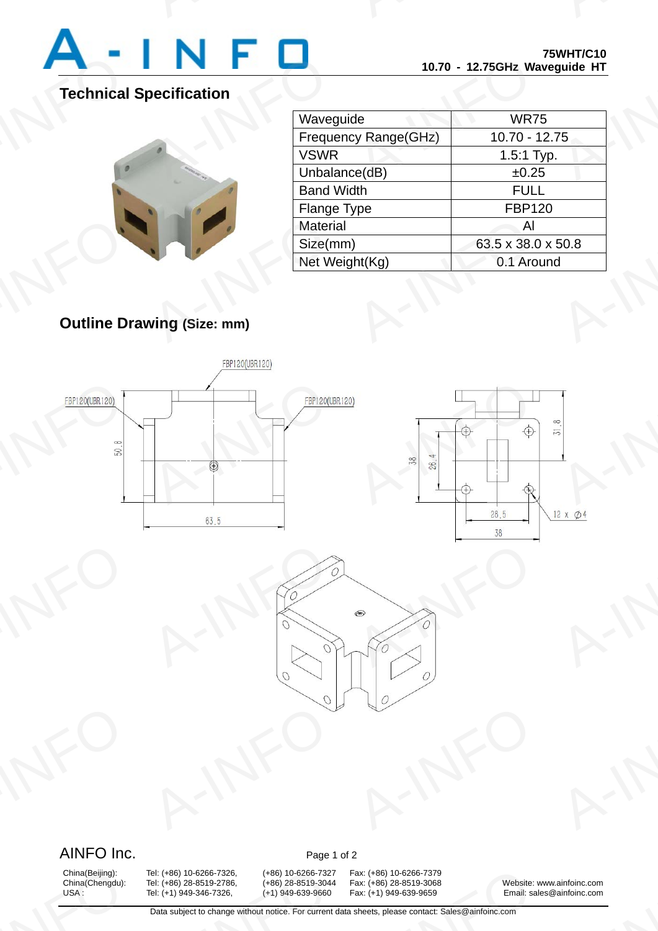

## **Technical Specification**



| Waveguide            | <b>WR75</b>        |
|----------------------|--------------------|
| Frequency Range(GHz) | $10.70 - 12.75$    |
| <b>VSWR</b>          | $1.5:1$ Typ.       |
| Unbalance(dB)        | ±0.25              |
| <b>Band Width</b>    | <b>FULL</b>        |
| <b>Flange Type</b>   | <b>FBP120</b>      |
| <b>Material</b>      | Al                 |
| Size(mm)             | 63.5 x 38.0 x 50.8 |
| Net Weight(Kg)       | 0.1 Around         |

# **Outline Drawing (Size: mm)**





## AINFO Inc. Page 1 of 2

China(Beijing):<br>China(Chengdu):<br>USA :

Tel: (+86) 10-6266-7326, (+86) 10-6266-7327<br>
Tel: (+86) 28-8519-2786, (+86) 28-8519-3044<br>
Tel: (+1) 949-346-7326, (+1) 949-639-9660<br>
Data subject to change without notice. For current

China(Beijing): Tel: (+86) 10-6266-7326, (+86) 10-6266-7327 Fax: (+86) 10-6266-7379<br>China(Chengdu): Tel: (+86) 28-8519-2786, (+86) 28-8519-3044 Fax: (+86) 28-8519-3068 Fax: (+86) 10-6266-7379<br>Fax: (+86) 28-8519-3068 Website: v<br>Fax: (+1) 949-639-9659 Email: sal<br>sheets, please contact: Sales@ainfoinc.com

China(Chengdu): Tel: (+86) 28-8519-2786, (+86) 28-8519-3044 Fax: (+86) 28-8519-3068 Website: www.ainfoinc.com<br>USA : Tel: (+1) 949-346-7326, (+1) 949-639-9660 Fax: (+1) 949-639-9659 Email: sales@ainfoinc.com Email: sales@ainfoinc.com ainfoinc.com<br>ainfoinc.com